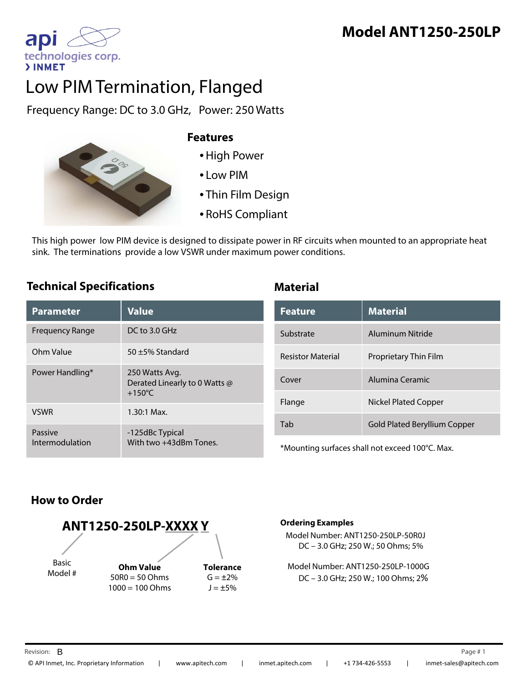# **Model ANT1250-250LP**

apl technologies corp. **>INMET** 

# Low PIM Termination, Flanged

Frequency Range: DC to 3.0 GHz, Power: 250 Watts



#### **Features**

- •High Power
- Low PIM
- Thin Film Design
- RoHS Compliant

This high power low PIM device is designed to dissipate power in RF circuits when mounted to an appropriate heat sink. The terminations provide a low VSWR under maximum power conditions.

#### **Technical Specifications Material**

| <b>Parameter</b>           | <b>Value</b>                                                        |
|----------------------------|---------------------------------------------------------------------|
| Frequency Range            | $DC$ to 3.0 GHz                                                     |
| Ohm Value                  | 50 $\pm$ 5% Standard                                                |
| Power Handling*            | 250 Watts Avg.<br>Derated Linearly to 0 Watts @<br>$+150^{\circ}$ C |
| <b>VSWR</b>                | $1.30:1$ Max.                                                       |
| Passive<br>Intermodulation | -125dBc Typical<br>With two +43dBm Tones.                           |

| <b>Feature</b>           | <b>Material</b>              |
|--------------------------|------------------------------|
| Substrate                | Aluminum Nitride             |
| <b>Resistor Material</b> | Proprietary Thin Film        |
| Cover                    | Alumina Ceramic              |
| Flange                   | Nickel Plated Copper         |
| Tab                      | Gold Plated Beryllium Copper |

\*Mounting surfaces shall not exceed 100°C. Max.

### **How to Order**



#### **Ordering Examples**

Model Number: ANT1250-250LP-50R0J DC – 3.0 GHz; 250 W.; 50 Ohms; 5%

Model Number: ANT1250-250LP-1000G DC – 3.0 GHz; 250 W.; 100 Ohms; 2%